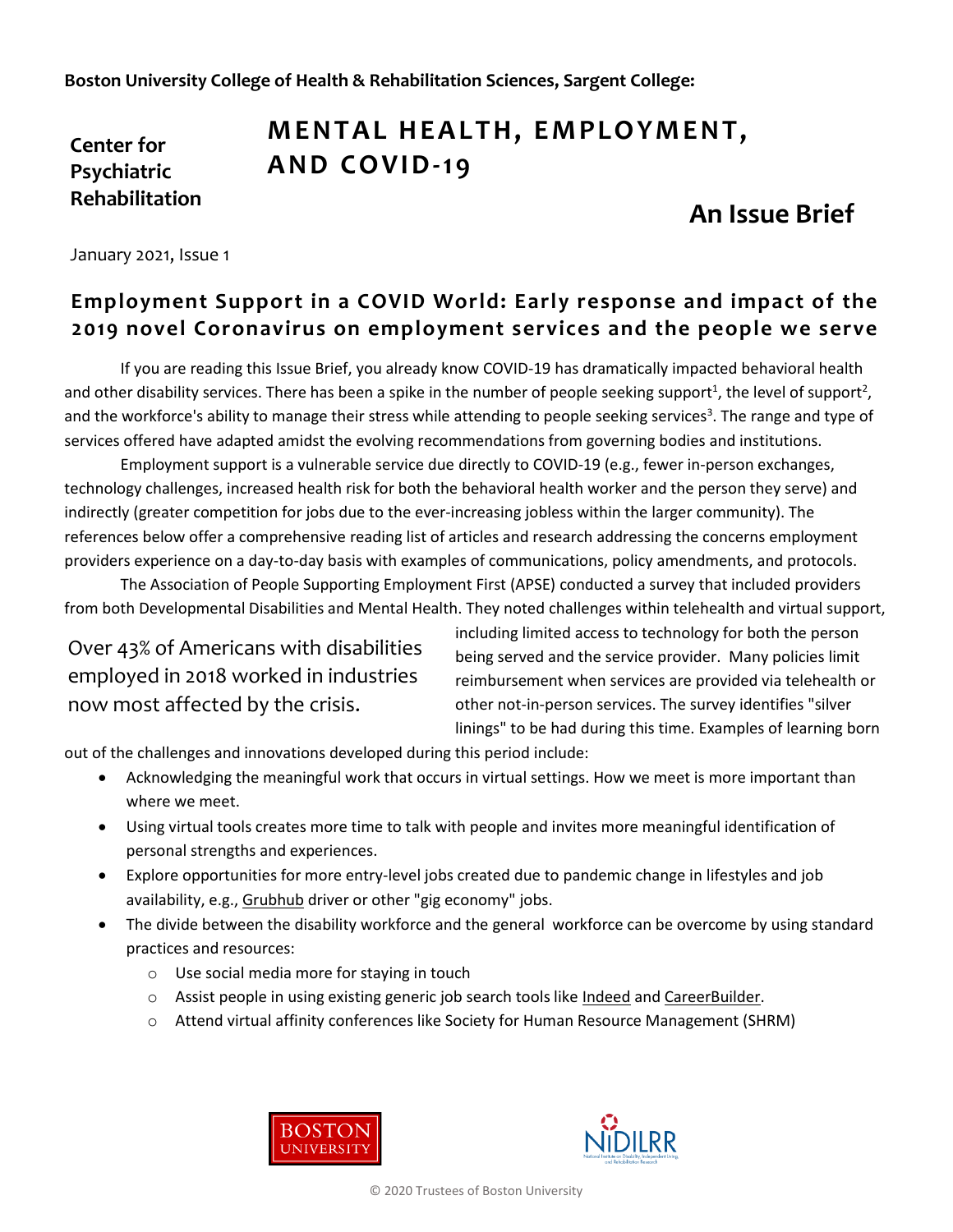**Boston University College of Health & Rehabilitation Sciences, Sargent College:**

### **Center for Psychiatric Rehabilitation**

# **MENTAL HEALTH, EMPLOYMENT, A ND CO VID-19**

# **An Issue Brief**

January 2021, Issue 1

### **Employment Support in a COVID World: Early response and impact of the 2019 novel Coronavirus on employment services and the people we serve**

If you are reading this Issue Brief, you already know COVID-19 has dramatically impacted behavioral health and other disability services. There has been a spike in the number of people seeking support<sup>1</sup>, the level of support<sup>2</sup>, and the workforce's ability to manage their stress while attending to people seeking services<sup>3</sup>. The range and type of services offered have adapted amidst the evolving recommendations from governing bodies and institutions.

Employment support is a vulnerable service due directly to COVID-19 (e.g., fewer in-person exchanges, technology challenges, increased health risk for both the behavioral health worker and the person they serve) and indirectly (greater competition for jobs due to the ever-increasing jobless within the larger community). The references below offer a comprehensive reading list of articles and research addressing the concerns employment providers experience on a day-to-day basis with examples of communications, policy amendments, and protocols.

The Association of People Supporting Employment First (APSE) conducted a survey that included providers from both Developmental Disabilities and Mental Health. They noted challenges within telehealth and virtual support,

Over 43% of Americans with disabilities employed in 2018 worked in industries now most affected by the crisis.

including limited access to technology for both the person being served and the service provider. Many policies limit reimbursement when services are provided via telehealth or other not-in-person services. The survey identifies "silver linings" to be had during this time. Examples of learning born

out of the challenges and innovations developed during this period include:

- Acknowledging the meaningful work that occurs in virtual settings. How we meet is more important than where we meet.
- Using virtual tools creates more time to talk with people and invites more meaningful identification of personal strengths and experiences.
- Explore opportunities for more entry-level jobs created due to pandemic change in lifestyles and job availability, e.g., [Grubhub](https://careers.grubhub.com/) driver or other "gig economy" jobs.
- The divide between the disability workforce and the general workforce can be overcome by using standard practices and resources:
	- o Use social media more for staying in touch
	- o Assist people in using existing generic job search tools like [Indeed](https://www.indeed.com/) and [CareerBuilder.](https://www.careerbuilder.com/)
	- $\circ$  Attend virtual affinity conferences like Society for Human Resource Management (SHRM)





© 2020 Trustees of Boston University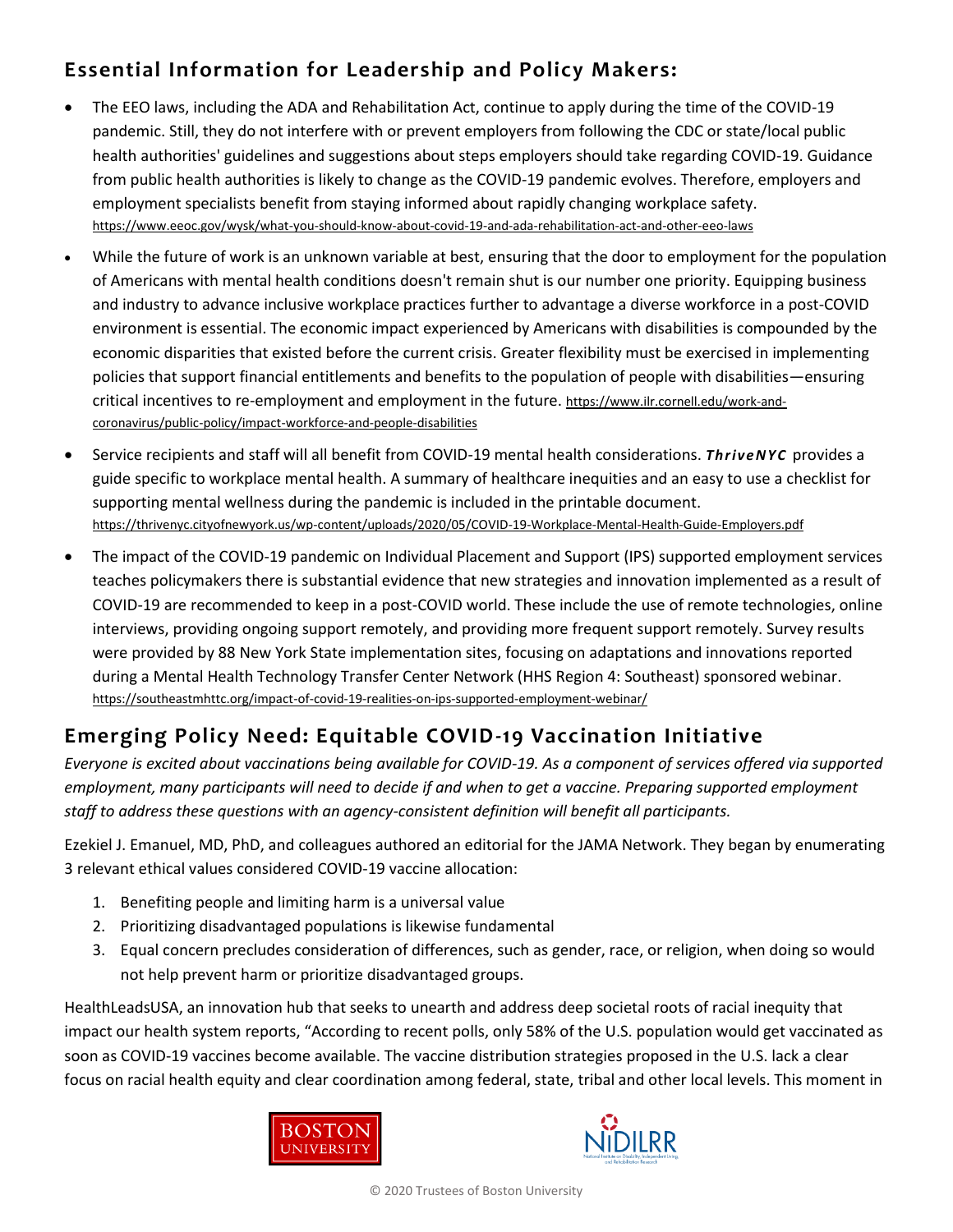### **Essential Information for Leadership and Policy Makers:**

- The EEO laws, including the ADA and Rehabilitation Act, continue to apply during the time of the COVID-19 pandemic. Still, they do not interfere with or prevent employers from following the CDC or state/local public health authorities' guidelines and suggestions about steps employers should take regarding COVID-19. Guidance from public health authorities is likely to change as the COVID-19 pandemic evolves. Therefore, employers and employment specialists benefit from staying informed about rapidly changing workplace safety. <https://www.eeoc.gov/wysk/what-you-should-know-about-covid-19-and-ada-rehabilitation-act-and-other-eeo-laws>
- While the future of work is an unknown variable at best, ensuring that the door to employment for the population of Americans with mental health conditions doesn't remain shut is our number one priority. Equipping business and industry to advance inclusive workplace practices further to advantage a diverse workforce in a post-COVID environment is essential. The economic impact experienced by Americans with disabilities is compounded by the economic disparities that existed before the current crisis. Greater flexibility must be exercised in implementing policies that support financial entitlements and benefits to the population of people with disabilities—ensuring critical incentives to re-employment and employment in the future. https://www.ilr.cornell.edu/work-andcoronavirus/public-policy/impact-workforce-and-people-disabilities
- Service recipients and staff will all benefit from COVID-19 mental health considerations. *ThriveNYC* provides a guide specific to workplace mental health. A summary of healthcare inequities and an easy to use a checklist for supporting mental wellness during the pandemic is included in the printable document. <https://thrivenyc.cityofnewyork.us/wp-content/uploads/2020/05/COVID-19-Workplace-Mental-Health-Guide-Employers.pdf>
- The impact of the COVID-19 pandemic on Individual Placement and Support (IPS) supported employment services teaches policymakers there is substantial evidence that new strategies and innovation implemented as a result of COVID-19 are recommended to keep in a post-COVID world. These include the use of remote technologies, online interviews, providing ongoing support remotely, and providing more frequent support remotely. Survey results were provided by 88 New York State implementation sites, focusing on adaptations and innovations reported during a Mental Health Technology Transfer Center Network (HHS Region 4: Southeast) sponsored webinar. <https://southeastmhttc.org/impact-of-covid-19-realities-on-ips-supported-employment-webinar/>

## **Emerging Policy Need: Equitable COVID-19 Vaccination Initiative**

*Everyone is excited about vaccinations being available for COVID-19. As a component of services offered via supported employment, many participants will need to decide if and when to get a vaccine. Preparing supported employment staff to address these questions with an agency-consistent definition will benefit all participants.* 

Ezekiel J. Emanuel, MD, PhD, and colleagues authored an editorial for the JAMA Network. They began by enumerating 3 relevant ethical values considered COVID-19 vaccine allocation:

- 1. Benefiting people and limiting harm is a universal value
- 2. Prioritizing disadvantaged populations is likewise fundamental
- 3. Equal concern precludes consideration of differences, such as gender, race, or religion, when doing so would not help prevent harm or prioritize disadvantaged groups.

HealthLeadsUSA, an innovation hub that seeks to unearth and address deep societal roots of racial inequity that impact our health system reports, "According to recent polls, only 58% of the U.S. population would get vaccinated as soon as COVID-19 vaccines become available. The vaccine distribution strategies proposed in the U.S. lack a clear focus on racial health equity and clear coordination among federal, state, tribal and other local levels. This moment in